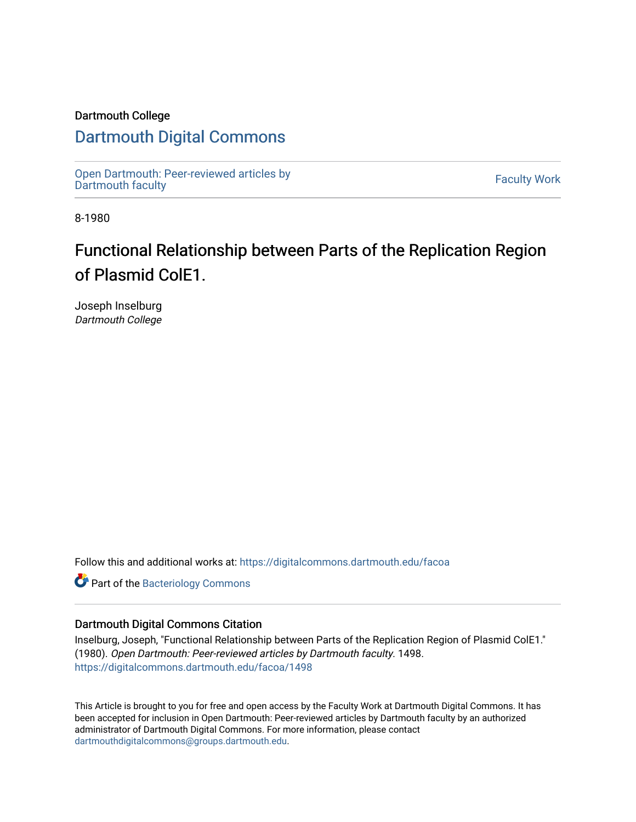## Dartmouth College

# [Dartmouth Digital Commons](https://digitalcommons.dartmouth.edu/)

[Open Dartmouth: Peer-reviewed articles by](https://digitalcommons.dartmouth.edu/facoa)  Open Dartmouth Feel-Teviewed articles by<br>[Dartmouth faculty](https://digitalcommons.dartmouth.edu/facoa)

8-1980

# Functional Relationship between Parts of the Replication Region of Plasmid ColE1.

Joseph Inselburg Dartmouth College

Follow this and additional works at: [https://digitalcommons.dartmouth.edu/facoa](https://digitalcommons.dartmouth.edu/facoa?utm_source=digitalcommons.dartmouth.edu%2Ffacoa%2F1498&utm_medium=PDF&utm_campaign=PDFCoverPages)

**Part of the [Bacteriology Commons](http://network.bepress.com/hgg/discipline/49?utm_source=digitalcommons.dartmouth.edu%2Ffacoa%2F1498&utm_medium=PDF&utm_campaign=PDFCoverPages)** 

### Dartmouth Digital Commons Citation

Inselburg, Joseph, "Functional Relationship between Parts of the Replication Region of Plasmid ColE1." (1980). Open Dartmouth: Peer-reviewed articles by Dartmouth faculty. 1498. [https://digitalcommons.dartmouth.edu/facoa/1498](https://digitalcommons.dartmouth.edu/facoa/1498?utm_source=digitalcommons.dartmouth.edu%2Ffacoa%2F1498&utm_medium=PDF&utm_campaign=PDFCoverPages) 

This Article is brought to you for free and open access by the Faculty Work at Dartmouth Digital Commons. It has been accepted for inclusion in Open Dartmouth: Peer-reviewed articles by Dartmouth faculty by an authorized administrator of Dartmouth Digital Commons. For more information, please contact [dartmouthdigitalcommons@groups.dartmouth.edu](mailto:dartmouthdigitalcommons@groups.dartmouth.edu).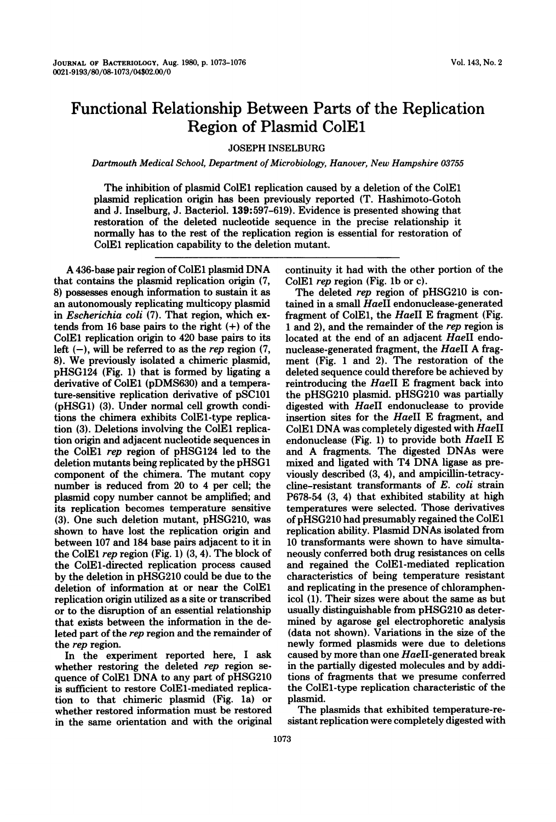## Functional Relationship Between Parts of the Replication Region of Plasmid ColE1

#### JOSEPH INSELBURG

Dartmouth Medical School, Department of Microbiology, Hanover, New Hampshire 03755

The inhibition of plasmid ColEl replication caused by a deletion of the ColEl plasmid replication origin has been previously reported (T. Hashimoto-Gotoh and J. Inselburg, J. Bacteriol. 139:597-619). Evidence is presented showing that restoration of the deleted nucleotide sequence in the precise relationship it normally has to the rest of the replication region is essential for restoration of ColEl replication capability to the deletion mutant.

A 436-base pair region of ColEl plasmid DNA that contains the plasmid replication origin (7, 8) possesses enough information to sustain it as an autonomously replicating multicopy plasmid in Escherichia coli (7). That region, which extends from 16 base pairs to the right (+) of the ColEl replication origin to 420 base pairs to its left  $(-)$ , will be referred to as the *rep* region  $(7, 7)$ 8). We previously isolated <sup>a</sup> chimeric plasmid, pHSG124 (Fig. 1) that is formed by ligating a derivative of ColEl (pDMS630) and a temperature-sensitive replication derivative of pSC101 (pHSG1) (3). Under normal cell growth conditions the chimera exhibits ColEl-type replication (3). Deletions involving the ColEl replication origin and adjacent nucleotide sequences in the ColEl rep region of pHSG124 led to the deletion mutants being replicated by the pHSG1 component of the chimera. The mutant copy number is reduced from 20 to 4 per cell; the plasmid copy number cannot be amplified; and its replication becomes temperature sensitive (3). One such deletion mutant, pHSG210, was shown to have lost the replication origin and between 107 and 184 base pairs adjacent to it in the ColEl rep region (Fig. 1) (3, 4). The block of the ColEl-directed replication process caused by the deletion in pHSG210 could be due to the deletion of information at or near the ColEl replication origin utilized as a site or transcribed or to the disruption of an essential relationship that exists between the information in the deleted part of the rep region and the remainder of the rep region.

In the experiment reported here, <sup>I</sup> ask whether restoring the deleted rep region sequence of ColEl DNA to any part of pHSG210 is sufficient to restore ColEl-mediated replication to that chimeric plasmid (Fig. la) or whether restored information must be restored in the same orientation and with the original continuity it had with the other portion of the ColEl rep region (Fig. lb or c).

The deleted rep region of pHSG210 is contained in a small HaeII endonuclease-generated fragment of ColEl, the HaeII E fragment (Fig. <sup>1</sup> and 2), and the remainder of the rep region is located at the end of an adjacent HaeII endonuclease-generated fragment, the HaeII A fragment (Fig. <sup>1</sup> and 2). The restoration of the deleted sequence could therefore be achieved by reintroducing the HaeII E fragment back into the pHSG210 plasmid. pHSG210 was partially digested with HaeII endonuclease to provide insertion sites for the HaeII E fragment, and ColEl DNA was completely digested with HaeII endonuclease (Fig. 1) to provide both  $HaeII$  E and A fragments. The digested DNAs were mixed and ligated with T4 DNA ligase as previously described (3, 4), and ampicillin-tetracycline-resistant transformants of E. coli strain P678-54 (3, 4) that exhibited stability at high temperatures were selected. Those derivatives of pHSG210 had presumably regained the ColEl replication ability. Plasmid DNAs isolated from 10 transformants were shown to have simultaneously conferred both drug resistances on cells and regained the ColEl-mediated replication characteristics of being temperature resistant and replicating in the presence of chloramphenicol (1). Their sizes were about the same as but usually distinguishable from pHSG210 as determined by agarose gel electrophoretic analysis (data not shown). Variations in the size of the newly formed plasmids were due to deletions caused by more than one HaeII-generated break in the partially digested molecules and by additions of fragments that we presume conferred the ColEl-type replication characteristic of the plasmid.

The plasmids that exhibited temperature-resistant replication were completely digested with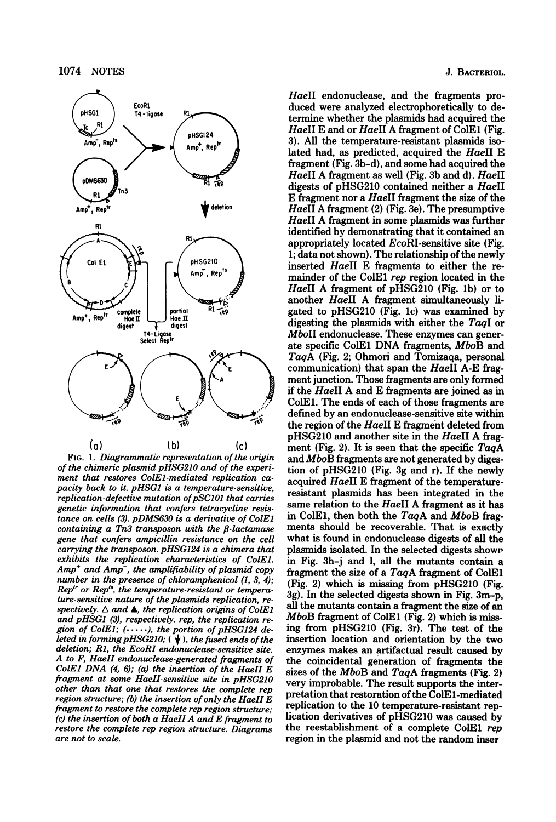

FIG. 1. Diagrammatic representation of the origin of the chimeric plasmid pHSG210 and of the experiment that restores ColEl-mediated replication capacity back to it. pHSG1 is a temperature-sensitive, replication-defective mutation of pSC101 that carries genetic information that confers tetracycline resistance on cells (3). pDMS630 is a derivative of ColEJ containing a Tn3 transposon with the  $\beta$ -lactamase gene that confers ampicillin resistance on the cell carrying the transposon. pHSG124 is a chimera that exhibits the replication characteristics of ColEJ.  $Amp<sup>+</sup>$  and  $Amp<sup>-</sup>$ , the amplifiability of plasmid copy number in the presence of chloramphenicol (1, 3, 4);  $Rep<sup>tr</sup>$  or  $Rep<sup>ts</sup>$ , the temperature-resistant or temperature-sensitive nature of the plasmids replication, respectively.  $\Delta$  and  $\blacktriangle$ , the replication origins of ColE1 and pHSG1 (3), respectively. rep, the replication region of ColE1;  $(\cdots)$ , the portion of pHSG124 deleted in forming pHSG210;  $(\forall)$ , the fused ends of the deletion; Rl, the EcoRI endonuclease-sensitive site. A to F, HaeII endonuclease-generated fragments of ColE1 DNA  $(4, 6)$ ;  $(a)$  the insertion of the HaeII E fragment at some HaeII-sensitive site in pHSG210 other than that one that restores the complete rep region structure; (b) the insertion of only the HaeII  $\overline{E}$ fragment to restore the complete rep region structure; (c) the insertion of both a HaeII A and E fragment to restore the complete rep region structure. Diagrams are not to scale.

J. BACTERIOL.

HaeII endonuclease, and the fragments produced were analyzed electrophoretically to determine whether the plasmids had acquired the HaeII E and or HaeII A fragment of ColE1 (Fig. 3). All the temperature-resistant plasmids isolated had, as predicted, acquired the HaeII E fragment (Fig. 3b-d), and some had acquired the HaeII A fragment as well (Fig. 3b and d). HaeII digests of pHSG210 contained neither a HaeII E fragment nor a HaeII fragment the size of the HaeII A fragment (2) (Fig. 3e). The presumptive HaeII A fragment in some plasmids was further identified by demonstrating that it contained an appropriately located EcoRI-sensitive site (Fig. 1; data not shown). The relationship of the newly inserted HaeII E fragments to either the remainder of the ColEl rep region located in the HaeII A fragment of pHSG210 (Fig. 1b) or to another HaeII A fragment simultaneously ligated to pHSG210 (Fig. lc) was examined by digesting the plasmids with either the TaqI or MboII endonuclease. These enzymes can generate specific ColEl DNA fragments, MboB and TaqA (Fig. 2; Ohmori and Tomizaqa, personal communication) that span the HaeII A-E fragment junction. Those fragments are only formed if the HaeII A and E fragments are joined as in ColEl. The ends of each of those fragments are defined by an endonuclease-sensitive site within the region of the HaeII E fragment deleted from pHSG210 and another site in the HaeII A fragment (Fig. 2). It is seen that the specific  $TaqA$ and MboB fragments are not generated by digestion of pHSG210 (Fig. 3g and r). If the newly acquired HaeII E fragment of the temperatureresistant plasmids has been integrated in the same relation to the HaeII A fragment as it has in ColE1, then both the  $TagA$  and  $MboB$  fragments should be recoverable. That is exactly what is found in endonuclease digests of all the plasmids isolated. In the selected digests shown in Fig. 3h-j and 1, all the mutants contain a fragment the size of a TaqA fragment of ColEl (Fig. 2) which is missing from pHSG210 (Fig. 3g). In the selected digests shown in Fig. 3m-p, all the mutants contain a fragment the size of an MboB fragment of ColEl (Fig. 2) which is missing from pHSG210 (Fig. 3r). The test of the insertion location and orientation by the two enzymes makes an artifactual result caused by the coincidental generation of fragments the sizes of the MboB and TaqA fragments (Fig. 2) very improbable. The result supports the interpretation that restoration of the ColE1-mediated replication to the 10 temperature-resistant replication derivatives of pHSG210 was caused by the reestablishment of a complete ColEl rep region in the plagmid and not the random inser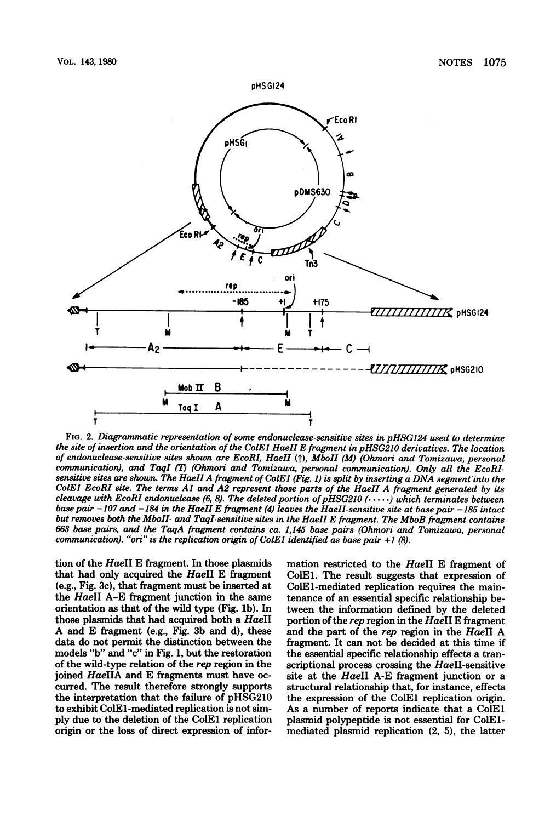

FIG. 2. Diagrammatic representation of some endonuclease-sensitive sites in pHSG124 used to determine the site of insertion and the orientation of the ColEl HaeII E fragment in pHSG210 derivatives. The location of endonuclease-sensitive sites shown are EcoRI, HaeII (T), MboII (M) (Ohmori and Tomizawa, personal communication), and TaqI (T) (Ohmori and Tomizawa, personal communication). Only all the EcoRIsensitive sites are shown. The HaeII A fragment of ColE1 (Fig. 1) is split by inserting a DNA segment into the ColE) EcoRI site. The terms Al and A2 represent those parts of the HaeII A fragment generated by its cleavage with EcoRI endonuclease (6, 8). The deleted portion of pHSG210 (·····) which terminates between<br>base pair –107 and –184 in the HaeII E fragment (4) leaves the HaeII-sensitive site at base pair –185 intact but removes both the MboII- and TaqI-sensitive sites in the HaeII E fragment. The MboB fragment contains 663 base pairs, and the TaqA fragment contains ca. 1,145 base pairs (Ohmori and Tomizawa, personal communication). "ori" is the replication origin of ColE1 identified as base pair  $+1$  (8).

tion of the HaeII E fragment. In those plasmids that had only acquired the HaeII E fragment (e.g., Fig. 3c), that fragment must be inserted at the HaeII A-E fragment junction in the same orientation as that of the wild type (Fig. lb). In those plasmids that had acquired both a HaeII A and E fragment (e.g., Fig. 3b and d), these data do not permit the distinction between the models "b" and "c" in Fig. 1, but the restoration of the wild-type relation of the rep region in the joined HaeIIA and E fragments must have occurred. The result therefore strongly supports the interpretation that the failure of pHSG210 to exhibit ColEl-mediated replication is not simply due to the deletion of the ColEl replication origin or the loss of direct expression of information restricted to the HaeII E fragment of ColEl. The result suggests that expression of ColEl-mediated replication requires the maintenance of an essential specific relationship between the information defined by the deleted portion of the rep region in the HaeII E fragment and the part of the rep region in the HaeII A fragment. It can not be decided at this time if the essential specific relationship effects a transcriptional process crossing the HaeII-sensitive site at the HaeII A-E fragment junction or a structural relationship that, for instance, effects the expression of the ColEl replication origin. As a number of reports indicate that a ColEl plasmid polypeptide is not essential for ColElmediated plasmid replication (2, 5), the latter